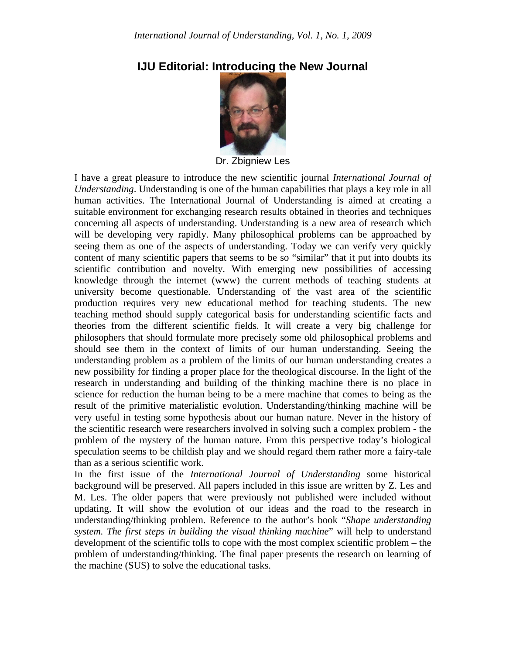

## **IJU Editorial: Introducing the New Journal**

Dr. Zbigniew Les

I have a great pleasure to introduce the new scientific journal *International Journal of Understanding*. Understanding is one of the human capabilities that plays a key role in all human activities. The International Journal of Understanding is aimed at creating a suitable environment for exchanging research results obtained in theories and techniques concerning all aspects of understanding. Understanding is a new area of research which will be developing very rapidly. Many philosophical problems can be approached by seeing them as one of the aspects of understanding. Today we can verify very quickly content of many scientific papers that seems to be so "similar" that it put into doubts its scientific contribution and novelty. With emerging new possibilities of accessing knowledge through the internet (www) the current methods of teaching students at university become questionable. Understanding of the vast area of the scientific production requires very new educational method for teaching students. The new teaching method should supply categorical basis for understanding scientific facts and theories from the different scientific fields. It will create a very big challenge for philosophers that should formulate more precisely some old philosophical problems and should see them in the context of limits of our human understanding. Seeing the understanding problem as a problem of the limits of our human understanding creates a new possibility for finding a proper place for the theological discourse. In the light of the research in understanding and building of the thinking machine there is no place in science for reduction the human being to be a mere machine that comes to being as the result of the primitive materialistic evolution. Understanding/thinking machine will be very useful in testing some hypothesis about our human nature. Never in the history of the scientific research were researchers involved in solving such a complex problem - the problem of the mystery of the human nature. From this perspective today's biological speculation seems to be childish play and we should regard them rather more a fairy-tale than as a serious scientific work.

In the first issue of the *International Journal of Understanding* some historical background will be preserved. All papers included in this issue are written by Z. Les and M. Les. The older papers that were previously not published were included without updating. It will show the evolution of our ideas and the road to the research in understanding/thinking problem. Reference to the author's book "*Shape understanding system. The first steps in building the visual thinking machine*" will help to understand development of the scientific tolls to cope with the most complex scientific problem – the problem of understanding/thinking. The final paper presents the research on learning of the machine (SUS) to solve the educational tasks.